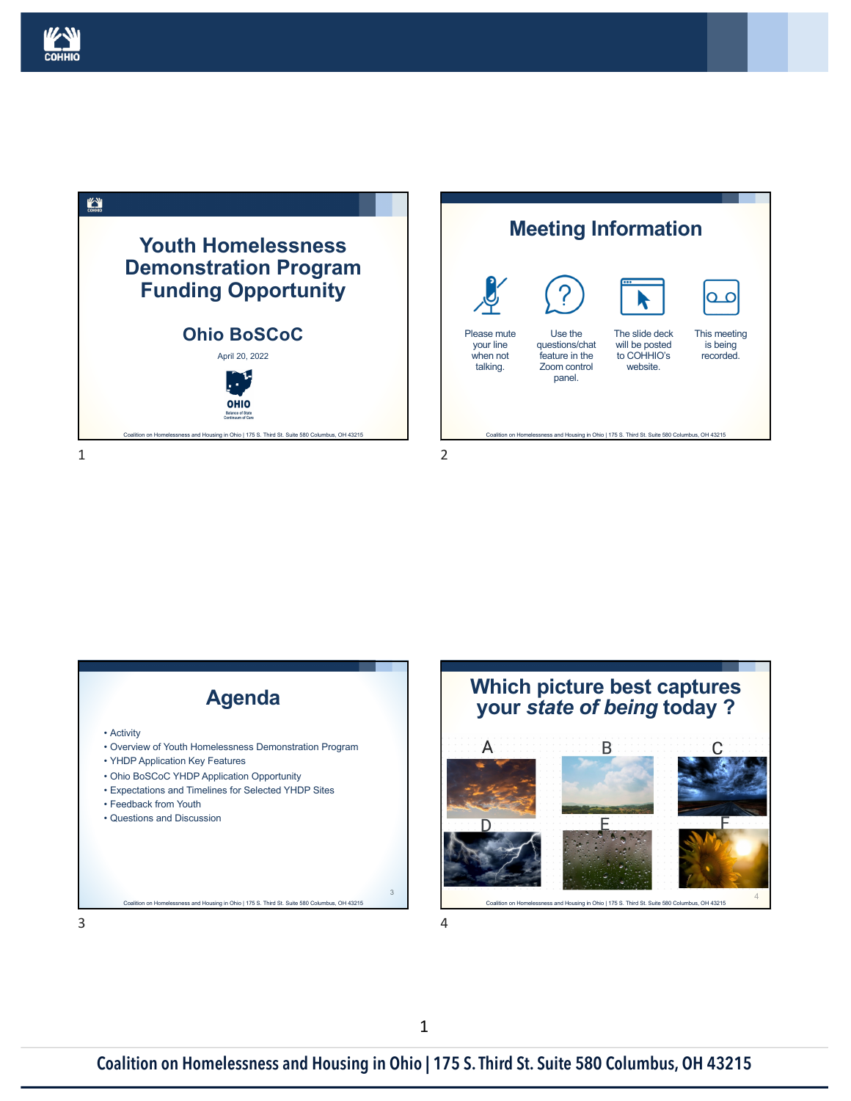





4

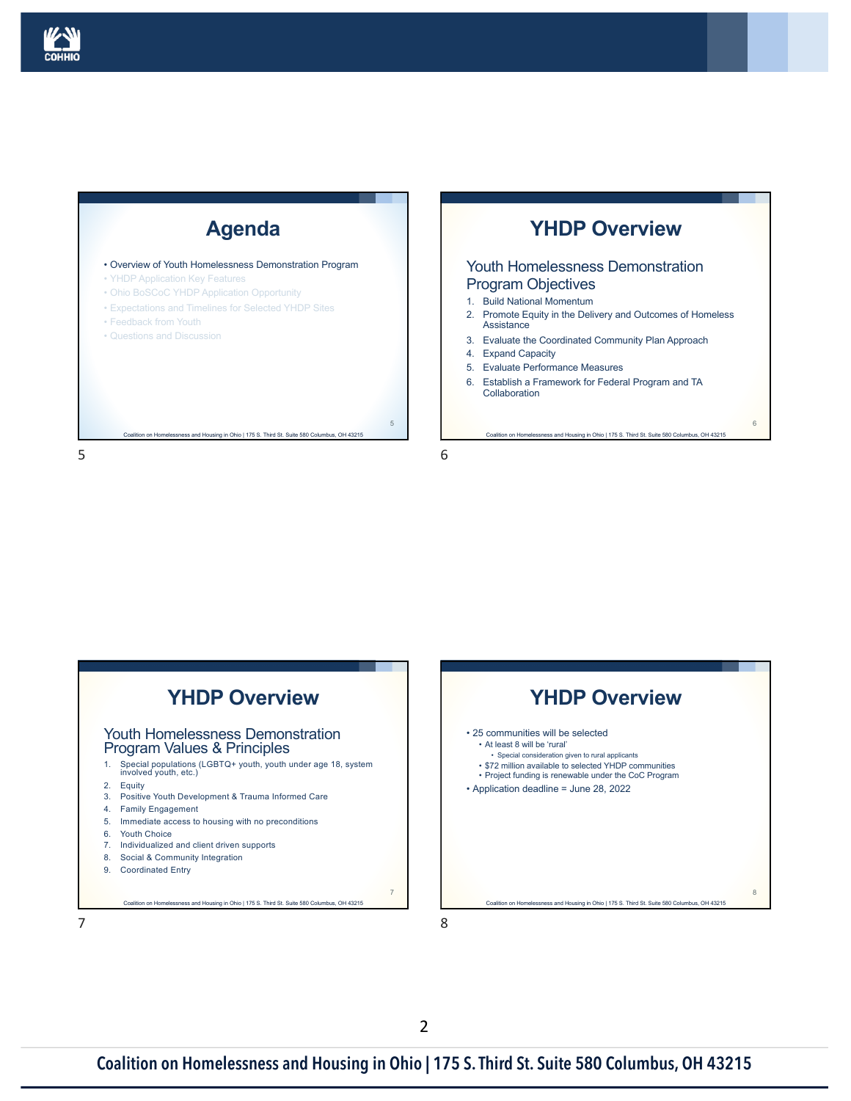

### **Agenda**

Coalition on Homelessness and Housing in Ohio | 175 S. Third St. Suite 580 Columbus, OH 43215

• Overview of Youth Homelessness Demonstration Program

- YHDP Application Key Features
- Ohio BoSCoC YHDP Application Opportunity
- Expectations and Timelines for Selected YHDP Sites
- Feedback from Youth
- Questions and Discussion

5

# **YHDP Overview**

#### Youth Homelessness Demonstration Program Objectives

- 1. Build National Momentum
- 2. Promote Equity in the Delivery and Outcomes of Homeless Assistance
- 3. Evaluate the Coordinated Community Plan Approach
- 4. Expand Capacity
- 5. Evaluate Performance Measures
- 6. Establish a Framework for Federal Program and TA **Collaboration**

Coalition on Homelessness and Housing in Ohio | 175 S. Third St. Suite 580 Columbus, OH 43215

6

8

6

5



8

7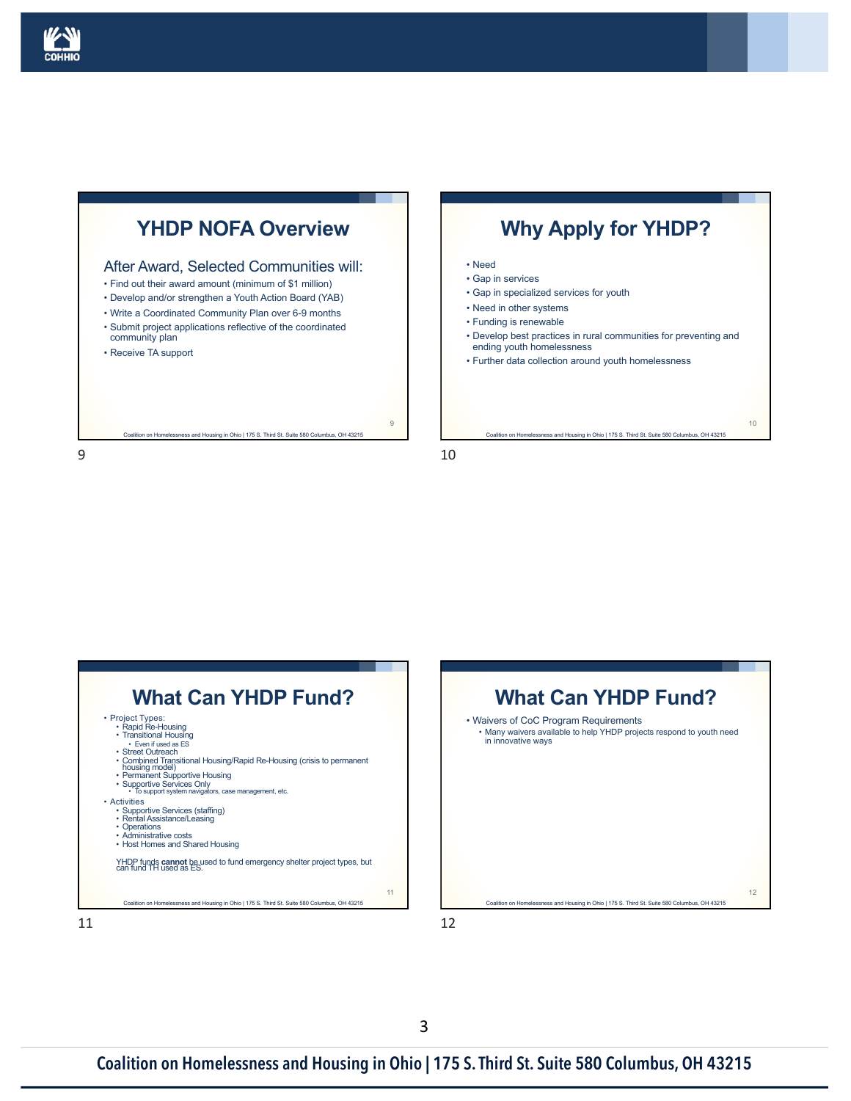

### **YHDP NOFA Overview**

#### After Award, Selected Communities will:

- Find out their award amount (minimum of \$1 million)
- Develop and/or strengthen a Youth Action Board (YAB)
- Write a Coordinated Community Plan over 6-9 months
- Submit project applications reflective of the coordinated community plan

Coalition on Homelessness and Housing in Ohio | 175 S. Third St. Suite 580 Columbus, OH 43215

• Receive TA support

9

### **Why Apply for YHDP?**

#### • Need

- Gap in services
- Gap in specialized services for youth
- Need in other systems
- Funding is renewable
- Develop best practices in rural communities for preventing and ending youth homelessness
- Further data collection around youth homelessness

Coalition on Homelessness and Housing in Ohio | 175 S. Third St. Suite 580 Columbus, OH 43215

10

10

9





12

11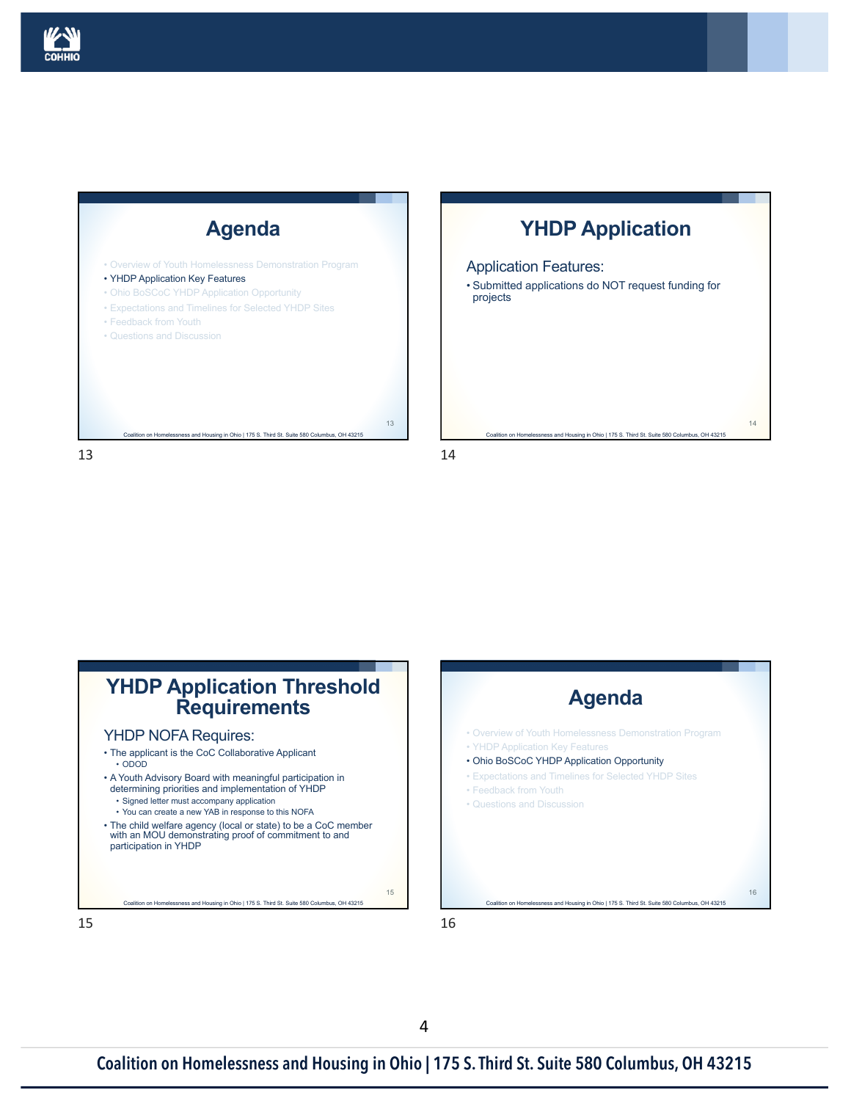



## **YHDP Application**

#### Application Features:

• Submitted applications do NOT request funding for projects

Coalition on Homelessness and Housing in Ohio | 175 S. Third St. Suite 580 Columbus, OH 43215

14





15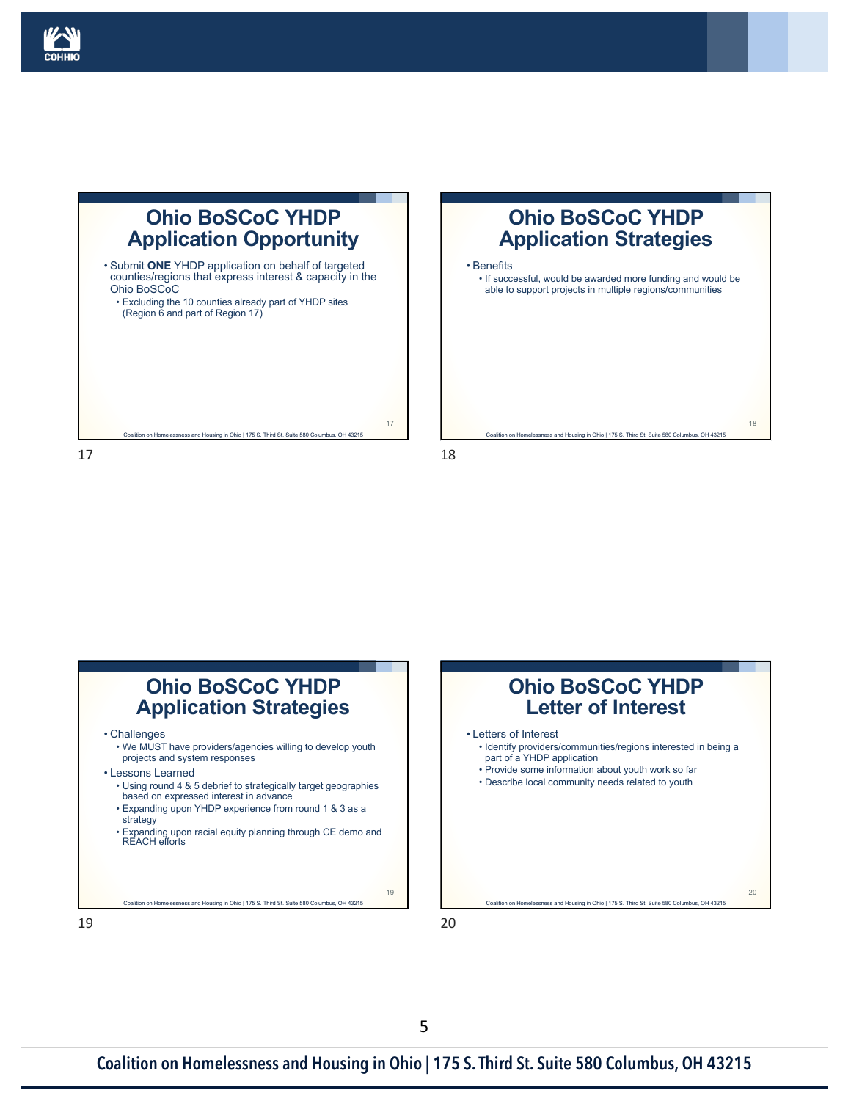

# **Ohio BoSCoC YHDP Application Opportunity**

• Submit **ONE** YHDP application on behalf of targeted counties/regions that express interest & capacity in the Ohio BoSCoC • Excluding the 10 counties already part of YHDP sites (Region 6 and part of Region 17)

tion on Homelessness and Housing in Ohio | 175 S. Third St. Suite 580 Columbus, OH 43215

17



18

17





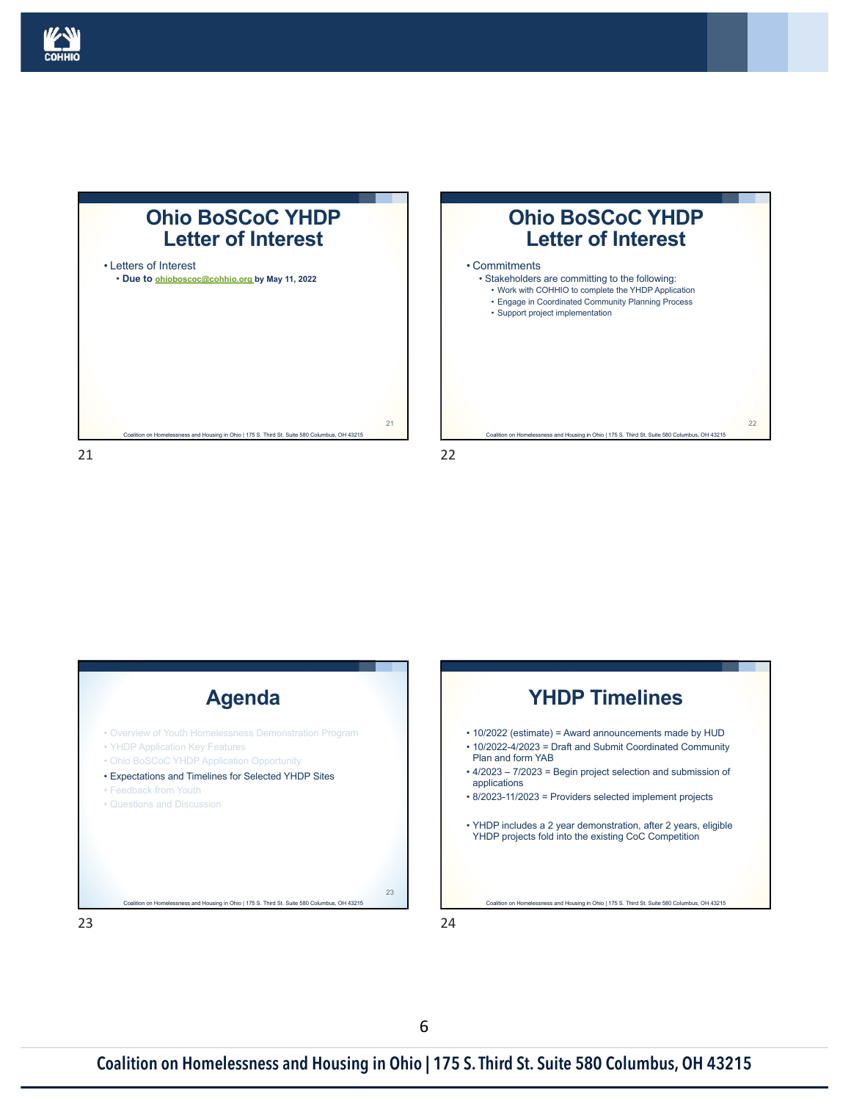

### **Ohio BoSCoC YHDP Letter of Interest**









23

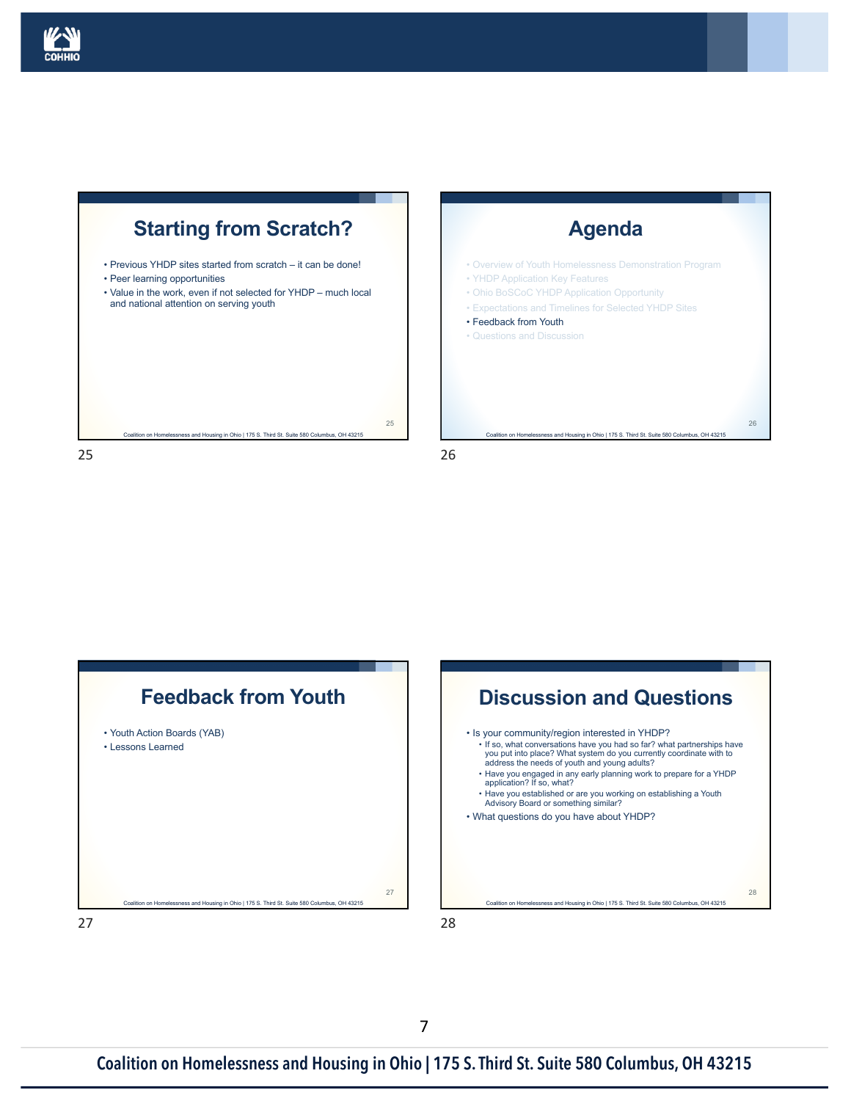